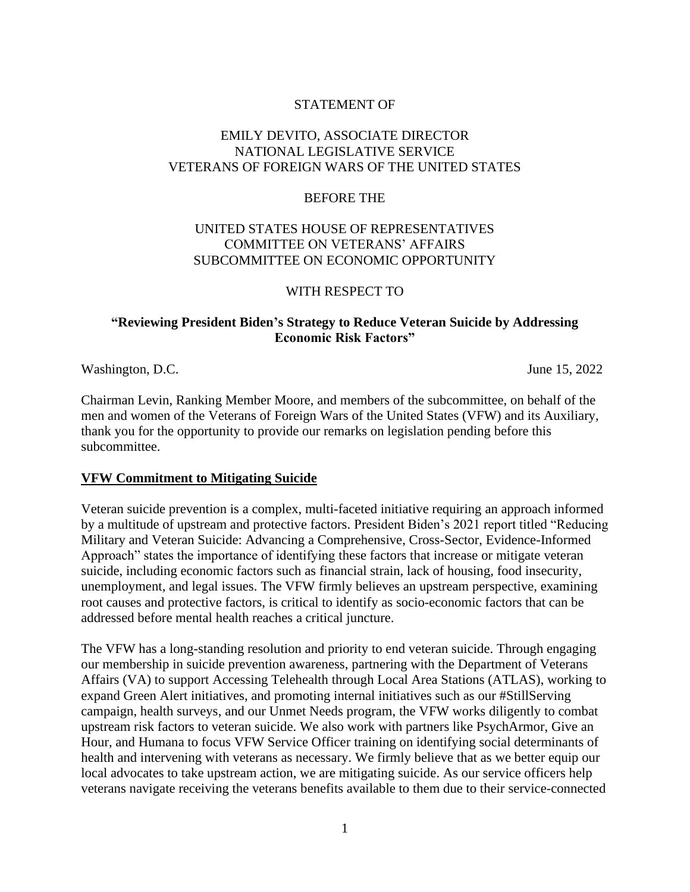### STATEMENT OF

# EMILY DEVITO, ASSOCIATE DIRECTOR NATIONAL LEGISLATIVE SERVICE VETERANS OF FOREIGN WARS OF THE UNITED STATES

#### BEFORE THE

### UNITED STATES HOUSE OF REPRESENTATIVES COMMITTEE ON VETERANS' AFFAIRS SUBCOMMITTEE ON ECONOMIC OPPORTUNITY

#### WITH RESPECT TO

### **"Reviewing President Biden's Strategy to Reduce Veteran Suicide by Addressing Economic Risk Factors"**

Washington, D.C. June 15, 2022

Chairman Levin, Ranking Member Moore, and members of the subcommittee, on behalf of the men and women of the Veterans of Foreign Wars of the United States (VFW) and its Auxiliary, thank you for the opportunity to provide our remarks on legislation pending before this subcommittee.

#### **VFW Commitment to Mitigating Suicide**

Veteran suicide prevention is a complex, multi-faceted initiative requiring an approach informed by a multitude of upstream and protective factors. President Biden's 2021 report titled "Reducing Military and Veteran Suicide: Advancing a Comprehensive, Cross-Sector, Evidence-Informed Approach" states the importance of identifying these factors that increase or mitigate veteran suicide, including economic factors such as financial strain, lack of housing, food insecurity, unemployment, and legal issues. The VFW firmly believes an upstream perspective, examining root causes and protective factors, is critical to identify as socio-economic factors that can be addressed before mental health reaches a critical juncture.

The VFW has a long-standing resolution and priority to end veteran suicide. Through engaging our membership in suicide prevention awareness, partnering with the Department of Veterans Affairs (VA) to support Accessing Telehealth through Local Area Stations (ATLAS), working to expand Green Alert initiatives, and promoting internal initiatives such as our #StillServing campaign, health surveys, and our Unmet Needs program, the VFW works diligently to combat upstream risk factors to veteran suicide. We also work with partners like PsychArmor, Give an Hour, and Humana to focus VFW Service Officer training on identifying social determinants of health and intervening with veterans as necessary. We firmly believe that as we better equip our local advocates to take upstream action, we are mitigating suicide. As our service officers help veterans navigate receiving the veterans benefits available to them due to their service-connected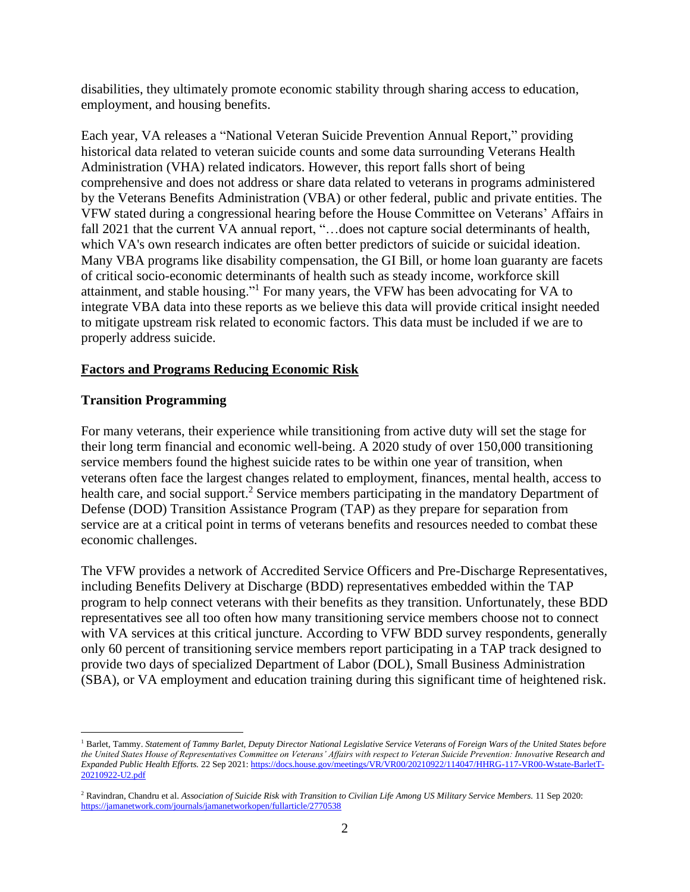disabilities, they ultimately promote economic stability through sharing access to education, employment, and housing benefits.

Each year, VA releases a "National Veteran Suicide Prevention Annual Report," providing historical data related to veteran suicide counts and some data surrounding Veterans Health Administration (VHA) related indicators. However, this report falls short of being comprehensive and does not address or share data related to veterans in programs administered by the Veterans Benefits Administration (VBA) or other federal, public and private entities. The VFW stated during a congressional hearing before the House Committee on Veterans' Affairs in fall 2021 that the current VA annual report, "...does not capture social determinants of health, which VA's own research indicates are often better predictors of suicide or suicidal ideation. Many VBA programs like disability compensation, the GI Bill, or home loan guaranty are facets of critical socio-economic determinants of health such as steady income, workforce skill attainment, and stable housing."<sup>1</sup> For many years, the VFW has been advocating for VA to integrate VBA data into these reports as we believe this data will provide critical insight needed to mitigate upstream risk related to economic factors. This data must be included if we are to properly address suicide.

# **Factors and Programs Reducing Economic Risk**

### **Transition Programming**

For many veterans, their experience while transitioning from active duty will set the stage for their long term financial and economic well-being. A 2020 study of over 150,000 transitioning service members found the highest suicide rates to be within one year of transition, when veterans often face the largest changes related to employment, finances, mental health, access to health care, and social support.<sup>2</sup> Service members participating in the mandatory Department of Defense (DOD) Transition Assistance Program (TAP) as they prepare for separation from service are at a critical point in terms of veterans benefits and resources needed to combat these economic challenges.

The VFW provides a network of Accredited Service Officers and Pre-Discharge Representatives, including Benefits Delivery at Discharge (BDD) representatives embedded within the TAP program to help connect veterans with their benefits as they transition. Unfortunately, these BDD representatives see all too often how many transitioning service members choose not to connect with VA services at this critical juncture. According to VFW BDD survey respondents, generally only 60 percent of transitioning service members report participating in a TAP track designed to provide two days of specialized Department of Labor (DOL), Small Business Administration (SBA), or VA employment and education training during this significant time of heightened risk.

<sup>1</sup> Barlet, Tammy. *Statement of Tammy Barlet, Deputy Director National Legislative Service Veterans of Foreign Wars of the United States before the United States House of Representatives Committee on Veterans' Affairs with respect to Veteran Suicide Prevention: Innovative Research and Expanded Public Health Efforts.* 22 Sep 2021[: https://docs.house.gov/meetings/VR/VR00/20210922/114047/HHRG-117-VR00-Wstate-BarletT-](https://docs.house.gov/meetings/VR/VR00/20210922/114047/HHRG-117-VR00-Wstate-BarletT-20210922-U2.pdf)[20210922-U2.pdf](https://docs.house.gov/meetings/VR/VR00/20210922/114047/HHRG-117-VR00-Wstate-BarletT-20210922-U2.pdf)

<sup>2</sup> Ravindran, Chandru et al. *Association of Suicide Risk with Transition to Civilian Life Among US Military Service Members.* 11 Sep 2020: <https://jamanetwork.com/journals/jamanetworkopen/fullarticle/2770538>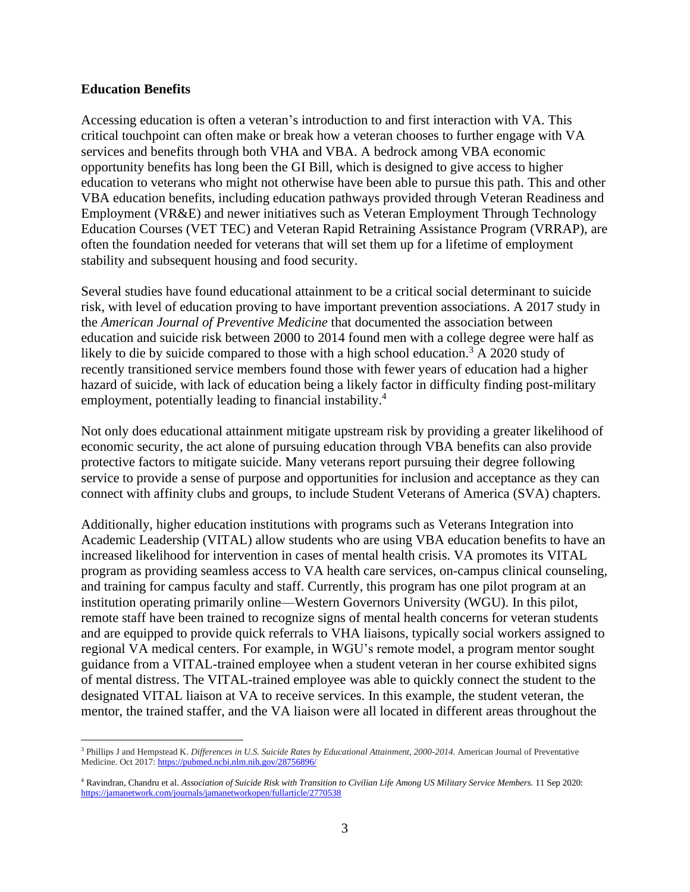#### **Education Benefits**

Accessing education is often a veteran's introduction to and first interaction with VA. This critical touchpoint can often make or break how a veteran chooses to further engage with VA services and benefits through both VHA and VBA. A bedrock among VBA economic opportunity benefits has long been the GI Bill, which is designed to give access to higher education to veterans who might not otherwise have been able to pursue this path. This and other VBA education benefits, including education pathways provided through Veteran Readiness and Employment (VR&E) and newer initiatives such as Veteran Employment Through Technology Education Courses (VET TEC) and Veteran Rapid Retraining Assistance Program (VRRAP), are often the foundation needed for veterans that will set them up for a lifetime of employment stability and subsequent housing and food security.

Several studies have found educational attainment to be a critical social determinant to suicide risk, with level of education proving to have important prevention associations. A 2017 study in the *American Journal of Preventive Medicine* that documented the association between education and suicide risk between 2000 to 2014 found men with a college degree were half as likely to die by suicide compared to those with a high school education.<sup>3</sup> A 2020 study of recently transitioned service members found those with fewer years of education had a higher hazard of suicide, with lack of education being a likely factor in difficulty finding post-military employment, potentially leading to financial instability.<sup>4</sup>

Not only does educational attainment mitigate upstream risk by providing a greater likelihood of economic security, the act alone of pursuing education through VBA benefits can also provide protective factors to mitigate suicide. Many veterans report pursuing their degree following service to provide a sense of purpose and opportunities for inclusion and acceptance as they can connect with affinity clubs and groups, to include Student Veterans of America (SVA) chapters.

Additionally, higher education institutions with programs such as Veterans Integration into Academic Leadership (VITAL) allow students who are using VBA education benefits to have an increased likelihood for intervention in cases of mental health crisis. VA promotes its VITAL program as providing seamless access to VA health care services, on-campus clinical counseling, and training for campus faculty and staff. Currently, this program has one pilot program at an institution operating primarily online––Western Governors University (WGU). In this pilot, remote staff have been trained to recognize signs of mental health concerns for veteran students and are equipped to provide quick referrals to VHA liaisons, typically social workers assigned to regional VA medical centers. For example, in WGU's remote model, a program mentor sought guidance from a VITAL-trained employee when a student veteran in her course exhibited signs of mental distress. The VITAL-trained employee was able to quickly connect the student to the designated VITAL liaison at VA to receive services. In this example, the student veteran, the mentor, the trained staffer, and the VA liaison were all located in different areas throughout the

<sup>3</sup> Phillips J and Hempstead K. *Differences in U.S. Suicide Rates by Educational Attainment, 2000-2014*. American Journal of Preventative Medicine. Oct 2017[: https://pubmed.ncbi.nlm.nih.gov/28756896/](https://pubmed.ncbi.nlm.nih.gov/28756896/)

<sup>4</sup> Ravindran, Chandru et al. *Association of Suicide Risk with Transition to Civilian Life Among US Military Service Members.* 11 Sep 2020: <https://jamanetwork.com/journals/jamanetworkopen/fullarticle/2770538>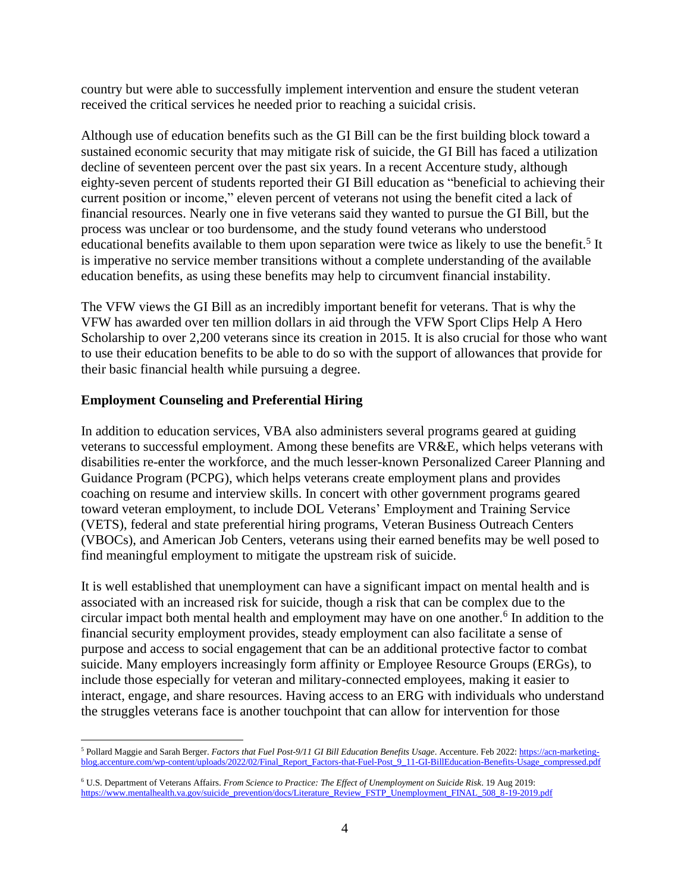country but were able to successfully implement intervention and ensure the student veteran received the critical services he needed prior to reaching a suicidal crisis.

Although use of education benefits such as the GI Bill can be the first building block toward a sustained economic security that may mitigate risk of suicide, the GI Bill has faced a utilization decline of seventeen percent over the past six years. In a recent Accenture study, although eighty-seven percent of students reported their GI Bill education as "beneficial to achieving their current position or income," eleven percent of veterans not using the benefit cited a lack of financial resources. Nearly one in five veterans said they wanted to pursue the GI Bill, but the process was unclear or too burdensome, and the study found veterans who understood educational benefits available to them upon separation were twice as likely to use the benefit.<sup>5</sup> It is imperative no service member transitions without a complete understanding of the available education benefits, as using these benefits may help to circumvent financial instability.

The VFW views the GI Bill as an incredibly important benefit for veterans. That is why the VFW has awarded over ten million dollars in aid through the VFW Sport Clips Help A Hero Scholarship to over 2,200 veterans since its creation in 2015. It is also crucial for those who want to use their education benefits to be able to do so with the support of allowances that provide for their basic financial health while pursuing a degree.

# **Employment Counseling and Preferential Hiring**

In addition to education services, VBA also administers several programs geared at guiding veterans to successful employment. Among these benefits are VR&E, which helps veterans with disabilities re-enter the workforce, and the much lesser-known Personalized Career Planning and Guidance Program (PCPG), which helps veterans create employment plans and provides coaching on resume and interview skills. In concert with other government programs geared toward veteran employment, to include DOL Veterans' Employment and Training Service (VETS), federal and state preferential hiring programs, Veteran Business Outreach Centers (VBOCs), and American Job Centers, veterans using their earned benefits may be well posed to find meaningful employment to mitigate the upstream risk of suicide.

It is well established that unemployment can have a significant impact on mental health and is associated with an increased risk for suicide, though a risk that can be complex due to the circular impact both mental health and employment may have on one another.<sup>6</sup> In addition to the financial security employment provides, steady employment can also facilitate a sense of purpose and access to social engagement that can be an additional protective factor to combat suicide. Many employers increasingly form affinity or Employee Resource Groups (ERGs), to include those especially for veteran and military-connected employees, making it easier to interact, engage, and share resources. Having access to an ERG with individuals who understand the struggles veterans face is another touchpoint that can allow for intervention for those

<sup>5</sup> Pollard Maggie and Sarah Berger. *Factors that Fuel Post-9/11 GI Bill Education Benefits Usage*. Accenture. Feb 2022: [https://acn-marketing](https://acn-marketing-blog.accenture.com/wp-content/uploads/2022/02/Final_Report_Factors-that-Fuel-Post_9_11-GI-BillEducation-Benefits-Usage_compressed.pdf)[blog.accenture.com/wp-content/uploads/2022/02/Final\\_Report\\_Factors-that-Fuel-Post\\_9\\_11-GI-BillEducation-Benefits-Usage\\_compressed.pdf](https://acn-marketing-blog.accenture.com/wp-content/uploads/2022/02/Final_Report_Factors-that-Fuel-Post_9_11-GI-BillEducation-Benefits-Usage_compressed.pdf)

<sup>6</sup> U.S. Department of Veterans Affairs. *From Science to Practice: The Effect of Unemployment on Suicide Risk*. 19 Aug 2019: [https://www.mentalhealth.va.gov/suicide\\_prevention/docs/Literature\\_Review\\_FSTP\\_Unemployment\\_FINAL\\_508\\_8-19-2019.pdf](https://www.mentalhealth.va.gov/suicide_prevention/docs/Literature_Review_FSTP_Unemployment_FINAL_508_8-19-2019.pdf)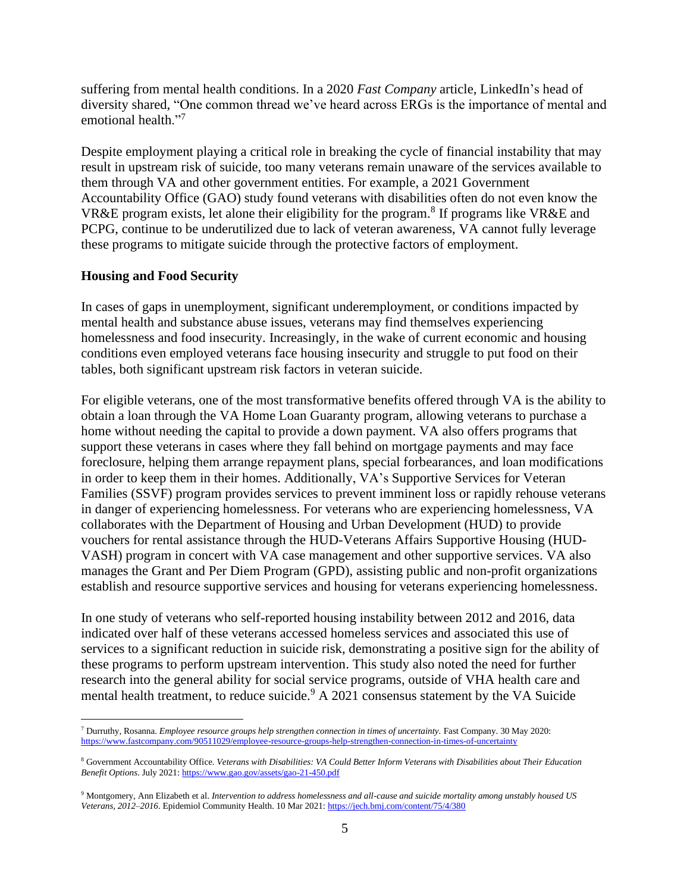suffering from mental health conditions. In a 2020 *Fast Company* article, LinkedIn's head of diversity shared, "One common thread we've heard across ERGs is the importance of mental and emotional health."<sup>7</sup>

Despite employment playing a critical role in breaking the cycle of financial instability that may result in upstream risk of suicide, too many veterans remain unaware of the services available to them through VA and other government entities. For example, a 2021 Government Accountability Office (GAO) study found veterans with disabilities often do not even know the VR&E program exists, let alone their eligibility for the program.<sup>8</sup> If programs like VR&E and PCPG, continue to be underutilized due to lack of veteran awareness, VA cannot fully leverage these programs to mitigate suicide through the protective factors of employment.

### **Housing and Food Security**

In cases of gaps in unemployment, significant underemployment, or conditions impacted by mental health and substance abuse issues, veterans may find themselves experiencing homelessness and food insecurity. Increasingly, in the wake of current economic and housing conditions even employed veterans face housing insecurity and struggle to put food on their tables, both significant upstream risk factors in veteran suicide.

For eligible veterans, one of the most transformative benefits offered through VA is the ability to obtain a loan through the VA Home Loan Guaranty program, allowing veterans to purchase a home without needing the capital to provide a down payment. VA also offers programs that support these veterans in cases where they fall behind on mortgage payments and may face foreclosure, helping them arrange repayment plans, special forbearances, and loan modifications in order to keep them in their homes. Additionally, VA's Supportive Services for Veteran Families (SSVF) program provides services to prevent imminent loss or rapidly rehouse veterans in danger of experiencing homelessness. For veterans who are experiencing homelessness, VA collaborates with the Department of Housing and Urban Development (HUD) to provide vouchers for rental assistance through the HUD-Veterans Affairs Supportive Housing (HUD-VASH) program in concert with VA case management and other supportive services. VA also manages the Grant and Per Diem Program (GPD), assisting public and non-profit organizations establish and resource supportive services and housing for veterans experiencing homelessness.

In one study of veterans who self-reported housing instability between 2012 and 2016, data indicated over half of these veterans accessed homeless services and associated this use of services to a significant reduction in suicide risk, demonstrating a positive sign for the ability of these programs to perform upstream intervention. This study also noted the need for further research into the general ability for social service programs, outside of VHA health care and mental health treatment, to reduce suicide. $9$  A 2021 consensus statement by the VA Suicide

<sup>7</sup> Durruthy, Rosanna. *Employee resource groups help strengthen connection in times of uncertainty.* Fast Company. 30 May 2020: <https://www.fastcompany.com/90511029/employee-resource-groups-help-strengthen-connection-in-times-of-uncertainty>

<sup>8</sup> Government Accountability Office. *Veterans with Disabilities: VA Could Better Inform Veterans with Disabilities about Their Education Benefit Options*. July 2021[: https://www.gao.gov/assets/gao-21-450.pdf](https://www.gao.gov/assets/gao-21-450.pdf)

<sup>9</sup> Montgomery, Ann Elizabeth et al. *Intervention to address homelessness and all-cause and suicide mortality among unstably housed US Veterans, 2012–2016*. Epidemiol Community Health. 10 Mar 2021:<https://jech.bmj.com/content/75/4/380>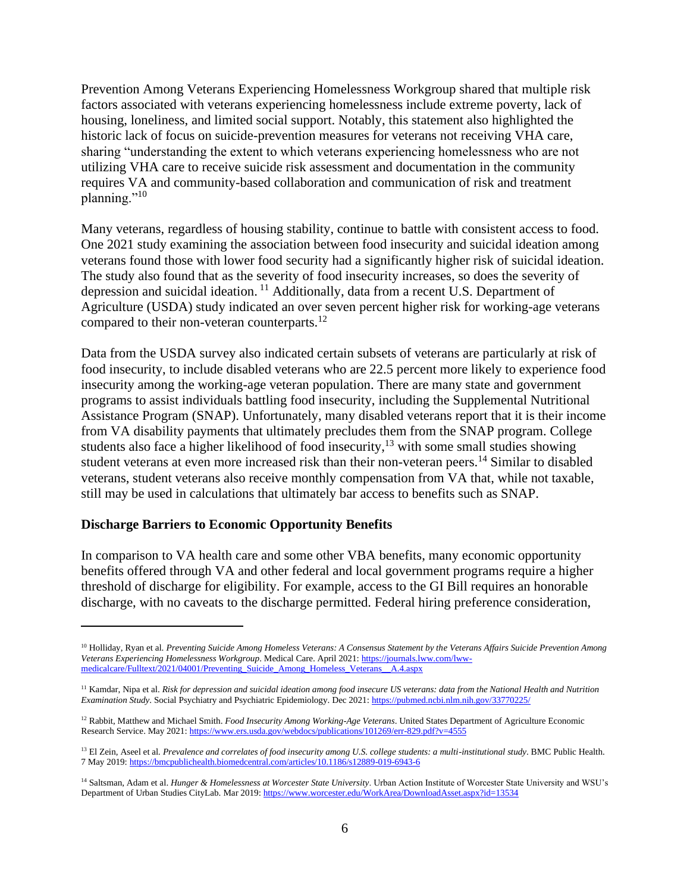Prevention Among Veterans Experiencing Homelessness Workgroup shared that multiple risk factors associated with veterans experiencing homelessness include extreme poverty, lack of housing, loneliness, and limited social support. Notably, this statement also highlighted the historic lack of focus on suicide-prevention measures for veterans not receiving VHA care, sharing "understanding the extent to which veterans experiencing homelessness who are not utilizing VHA care to receive suicide risk assessment and documentation in the community requires VA and community-based collaboration and communication of risk and treatment planning." $^{10}$ 

Many veterans, regardless of housing stability, continue to battle with consistent access to food. One 2021 study examining the association between food insecurity and suicidal ideation among veterans found those with lower food security had a significantly higher risk of suicidal ideation. The study also found that as the severity of food insecurity increases, so does the severity of depression and suicidal ideation.<sup>11</sup> Additionally, data from a recent U.S. Department of Agriculture (USDA) study indicated an over seven percent higher risk for working-age veterans compared to their non-veteran counterparts.<sup>12</sup>

Data from the USDA survey also indicated certain subsets of veterans are particularly at risk of food insecurity, to include disabled veterans who are 22.5 percent more likely to experience food insecurity among the working-age veteran population. There are many state and government programs to assist individuals battling food insecurity, including the Supplemental Nutritional Assistance Program (SNAP). Unfortunately, many disabled veterans report that it is their income from VA disability payments that ultimately precludes them from the SNAP program. College students also face a higher likelihood of food insecurity,<sup>13</sup> with some small studies showing student veterans at even more increased risk than their non-veteran peers.<sup>14</sup> Similar to disabled veterans, student veterans also receive monthly compensation from VA that, while not taxable, still may be used in calculations that ultimately bar access to benefits such as SNAP.

#### **Discharge Barriers to Economic Opportunity Benefits**

In comparison to VA health care and some other VBA benefits, many economic opportunity benefits offered through VA and other federal and local government programs require a higher threshold of discharge for eligibility. For example, access to the GI Bill requires an honorable discharge, with no caveats to the discharge permitted. Federal hiring preference consideration,

<sup>10</sup> Holliday, Ryan et al. *Preventing Suicide Among Homeless Veterans: A Consensus Statement by the Veterans Affairs Suicide Prevention Among Veterans Experiencing Homelessness Workgroup*. Medical Care. April 2021: [https://journals.lww.com/lww](https://journals.lww.com/lww-medicalcare/Fulltext/2021/04001/Preventing_Suicide_Among_Homeless_Veterans__A.4.aspx)[medicalcare/Fulltext/2021/04001/Preventing\\_Suicide\\_Among\\_Homeless\\_Veterans\\_\\_A.4.aspx](https://journals.lww.com/lww-medicalcare/Fulltext/2021/04001/Preventing_Suicide_Among_Homeless_Veterans__A.4.aspx)

<sup>&</sup>lt;sup>11</sup> Kamdar, Nipa et al. *Risk for depression and suicidal ideation among food insecure US veterans: data from the National Health and Nutrition Examination Study*. Social Psychiatry and Psychiatric Epidemiology. Dec 2021:<https://pubmed.ncbi.nlm.nih.gov/33770225/>

<sup>&</sup>lt;sup>12</sup> Rabbit, Matthew and Michael Smith. *Food Insecurity Among Working-Age Veterans*. United States Department of Agriculture Economic Research Service. May 2021[: https://www.ers.usda.gov/webdocs/publications/101269/err-829.pdf?v=4555](https://www.ers.usda.gov/webdocs/publications/101269/err-829.pdf?v=4555)

<sup>&</sup>lt;sup>13</sup> El Zein, Aseel et al. *Prevalence and correlates of food insecurity among U.S. college students: a multi-institutional study*. BMC Public Health. 7 May 2019:<https://bmcpublichealth.biomedcentral.com/articles/10.1186/s12889-019-6943-6>

<sup>14</sup> Saltsman, Adam et al. *Hunger & Homelessness at Worcester State University*. Urban Action Institute of Worcester State University and WSU's Department of Urban Studies CityLab. Mar 2019:<https://www.worcester.edu/WorkArea/DownloadAsset.aspx?id=13534>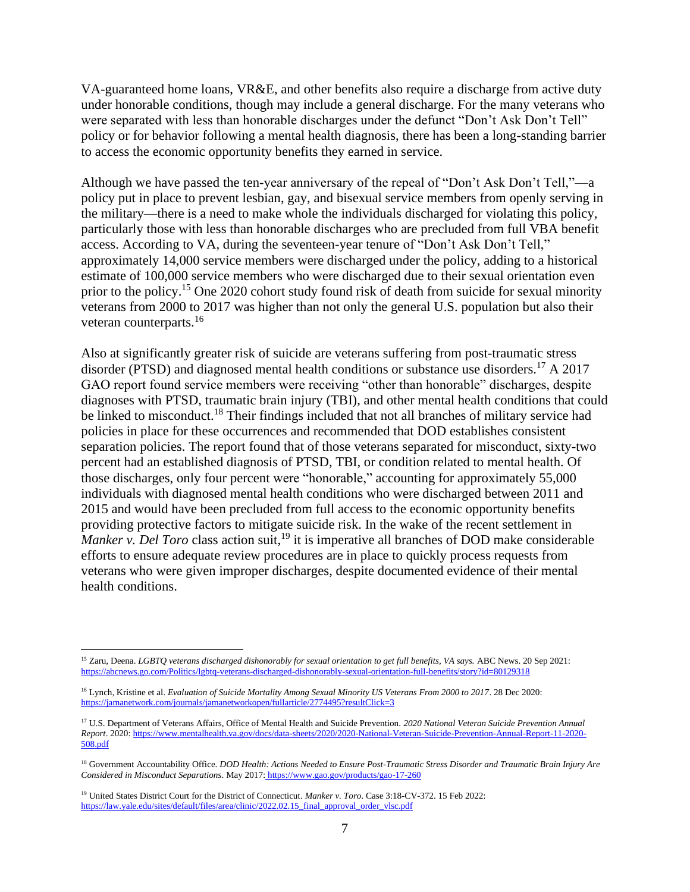VA-guaranteed home loans, VR&E, and other benefits also require a discharge from active duty under honorable conditions, though may include a general discharge. For the many veterans who were separated with less than honorable discharges under the defunct "Don't Ask Don't Tell" policy or for behavior following a mental health diagnosis, there has been a long-standing barrier to access the economic opportunity benefits they earned in service.

Although we have passed the ten-year anniversary of the repeal of "Don't Ask Don't Tell,"––a policy put in place to prevent lesbian, gay, and bisexual service members from openly serving in the military––there is a need to make whole the individuals discharged for violating this policy, particularly those with less than honorable discharges who are precluded from full VBA benefit access. According to VA, during the seventeen-year tenure of "Don't Ask Don't Tell," approximately 14,000 service members were discharged under the policy, adding to a historical estimate of 100,000 service members who were discharged due to their sexual orientation even prior to the policy.<sup>15</sup> One 2020 cohort study found risk of death from suicide for sexual minority veterans from 2000 to 2017 was higher than not only the general U.S. population but also their veteran counterparts.<sup>16</sup>

Also at significantly greater risk of suicide are veterans suffering from post-traumatic stress disorder (PTSD) and diagnosed mental health conditions or substance use disorders.<sup>17</sup> A 2017 GAO report found service members were receiving "other than honorable" discharges, despite diagnoses with PTSD, traumatic brain injury (TBI), and other mental health conditions that could be linked to misconduct.<sup>18</sup> Their findings included that not all branches of military service had policies in place for these occurrences and recommended that DOD establishes consistent separation policies. The report found that of those veterans separated for misconduct, sixty-two percent had an established diagnosis of PTSD, TBI, or condition related to mental health. Of those discharges, only four percent were "honorable," accounting for approximately 55,000 individuals with diagnosed mental health conditions who were discharged between 2011 and 2015 and would have been precluded from full access to the economic opportunity benefits providing protective factors to mitigate suicide risk. In the wake of the recent settlement in *Manker v. Del Toro* class action suit,<sup>19</sup> it is imperative all branches of DOD make considerable efforts to ensure adequate review procedures are in place to quickly process requests from veterans who were given improper discharges, despite documented evidence of their mental health conditions.

<sup>&</sup>lt;sup>15</sup> Zaru, Deena. *LGBTQ veterans discharged dishonorably for sexual orientation to get full benefits, VA says. ABC News. 20 Sep 2021:* <https://abcnews.go.com/Politics/lgbtq-veterans-discharged-dishonorably-sexual-orientation-full-benefits/story?id=80129318>

<sup>16</sup> Lynch, Kristine et al. *Evaluation of Suicide Mortality Among Sexual Minority US Veterans From 2000 to 2017*. 28 Dec 2020: <https://jamanetwork.com/journals/jamanetworkopen/fullarticle/2774495?resultClick=3>

<sup>17</sup> U.S. Department of Veterans Affairs, Office of Mental Health and Suicide Prevention. *2020 National Veteran Suicide Prevention Annual Report*. 2020[: https://www.mentalhealth.va.gov/docs/data-sheets/2020/2020-National-Veteran-Suicide-Prevention-Annual-Report-11-2020-](https://www.mentalhealth.va.gov/docs/data-sheets/2020/2020-National-Veteran-Suicide-Prevention-Annual-Report-11-2020-508.pdf) [508.pdf](https://www.mentalhealth.va.gov/docs/data-sheets/2020/2020-National-Veteran-Suicide-Prevention-Annual-Report-11-2020-508.pdf)

<sup>18</sup> Government Accountability Office. *DOD Health: Actions Needed to Ensure Post-Traumatic Stress Disorder and Traumatic Brain Injury Are Considered in Misconduct Separations*. May 2017: <https://www.gao.gov/products/gao-17-260>

<sup>19</sup> United States District Court for the District of Connecticut*. Manker v. Toro*. Case 3:18-CV-372. 15 Feb 2022: [https://law.yale.edu/sites/default/files/area/clinic/2022.02.15\\_final\\_approval\\_order\\_vlsc.pdf](https://law.yale.edu/sites/default/files/area/clinic/2022.02.15_final_approval_order_vlsc.pdf)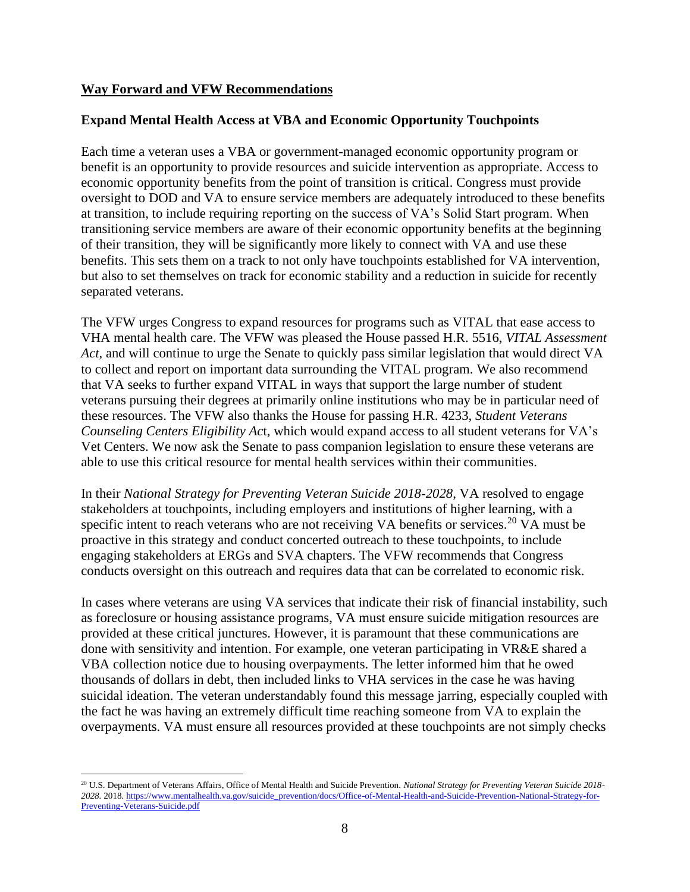### **Way Forward and VFW Recommendations**

# **Expand Mental Health Access at VBA and Economic Opportunity Touchpoints**

Each time a veteran uses a VBA or government-managed economic opportunity program or benefit is an opportunity to provide resources and suicide intervention as appropriate. Access to economic opportunity benefits from the point of transition is critical. Congress must provide oversight to DOD and VA to ensure service members are adequately introduced to these benefits at transition, to include requiring reporting on the success of VA's Solid Start program. When transitioning service members are aware of their economic opportunity benefits at the beginning of their transition, they will be significantly more likely to connect with VA and use these benefits. This sets them on a track to not only have touchpoints established for VA intervention, but also to set themselves on track for economic stability and a reduction in suicide for recently separated veterans.

The VFW urges Congress to expand resources for programs such as VITAL that ease access to VHA mental health care. The VFW was pleased the House passed H.R. 5516, *VITAL Assessment Act*, and will continue to urge the Senate to quickly pass similar legislation that would direct VA to collect and report on important data surrounding the VITAL program. We also recommend that VA seeks to further expand VITAL in ways that support the large number of student veterans pursuing their degrees at primarily online institutions who may be in particular need of these resources. The VFW also thanks the House for passing H.R. 4233, *Student Veterans Counseling Centers Eligibility Ac*t, which would expand access to all student veterans for VA's Vet Centers. We now ask the Senate to pass companion legislation to ensure these veterans are able to use this critical resource for mental health services within their communities.

In their *National Strategy for Preventing Veteran Suicide 2018-2028*, VA resolved to engage stakeholders at touchpoints, including employers and institutions of higher learning, with a specific intent to reach veterans who are not receiving VA benefits or services.<sup>20</sup> VA must be proactive in this strategy and conduct concerted outreach to these touchpoints, to include engaging stakeholders at ERGs and SVA chapters. The VFW recommends that Congress conducts oversight on this outreach and requires data that can be correlated to economic risk.

In cases where veterans are using VA services that indicate their risk of financial instability, such as foreclosure or housing assistance programs, VA must ensure suicide mitigation resources are provided at these critical junctures. However, it is paramount that these communications are done with sensitivity and intention. For example, one veteran participating in VR&E shared a VBA collection notice due to housing overpayments. The letter informed him that he owed thousands of dollars in debt, then included links to VHA services in the case he was having suicidal ideation. The veteran understandably found this message jarring, especially coupled with the fact he was having an extremely difficult time reaching someone from VA to explain the overpayments. VA must ensure all resources provided at these touchpoints are not simply checks

<sup>20</sup> U.S. Department of Veterans Affairs, Office of Mental Health and Suicide Prevention. *National Strategy for Preventing Veteran Suicide 2018- 2028.* 2018*.* [https://www.mentalhealth.va.gov/suicide\\_prevention/docs/Office-of-Mental-Health-and-Suicide-Prevention-National-Strategy-for-](https://www.mentalhealth.va.gov/suicide_prevention/docs/Office-of-Mental-Health-and-Suicide-Prevention-National-Strategy-for-Preventing-Veterans-Suicide.pdf)[Preventing-Veterans-Suicide.pdf](https://www.mentalhealth.va.gov/suicide_prevention/docs/Office-of-Mental-Health-and-Suicide-Prevention-National-Strategy-for-Preventing-Veterans-Suicide.pdf)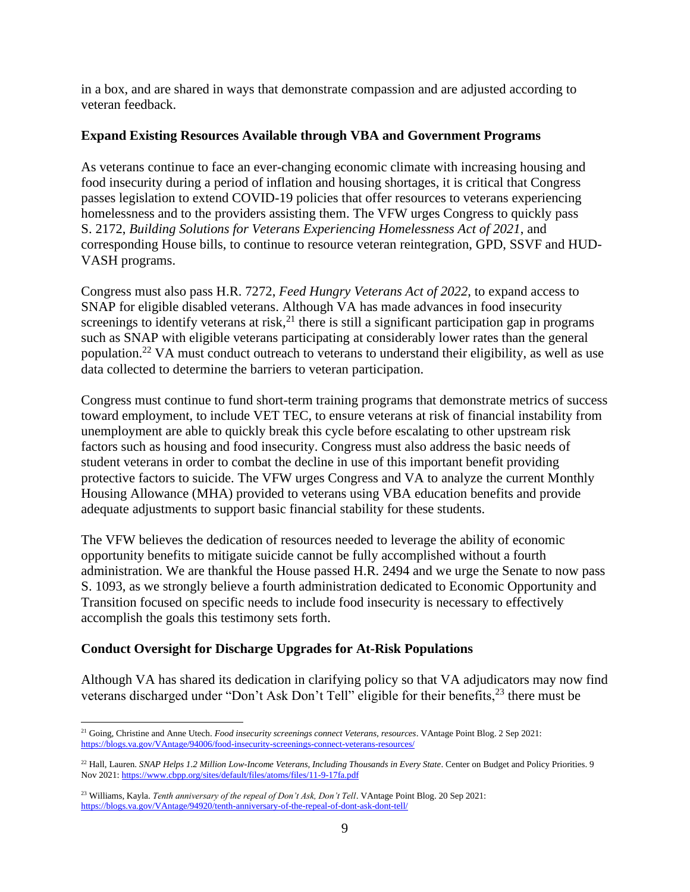in a box, and are shared in ways that demonstrate compassion and are adjusted according to veteran feedback.

# **Expand Existing Resources Available through VBA and Government Programs**

As veterans continue to face an ever-changing economic climate with increasing housing and food insecurity during a period of inflation and housing shortages, it is critical that Congress passes legislation to extend COVID-19 policies that offer resources to veterans experiencing homelessness and to the providers assisting them. The VFW urges Congress to quickly pass S. 2172, *Building Solutions for Veterans Experiencing Homelessness Act of 2021*, and corresponding House bills, to continue to resource veteran reintegration, GPD, SSVF and HUD-VASH programs.

Congress must also pass H.R. 7272, *Feed Hungry Veterans Act of 2022*, to expand access to SNAP for eligible disabled veterans. Although VA has made advances in food insecurity screenings to identify veterans at risk, $^{21}$  there is still a significant participation gap in programs such as SNAP with eligible veterans participating at considerably lower rates than the general population.<sup>22</sup> VA must conduct outreach to veterans to understand their eligibility, as well as use data collected to determine the barriers to veteran participation.

Congress must continue to fund short-term training programs that demonstrate metrics of success toward employment, to include VET TEC, to ensure veterans at risk of financial instability from unemployment are able to quickly break this cycle before escalating to other upstream risk factors such as housing and food insecurity. Congress must also address the basic needs of student veterans in order to combat the decline in use of this important benefit providing protective factors to suicide. The VFW urges Congress and VA to analyze the current Monthly Housing Allowance (MHA) provided to veterans using VBA education benefits and provide adequate adjustments to support basic financial stability for these students.

The VFW believes the dedication of resources needed to leverage the ability of economic opportunity benefits to mitigate suicide cannot be fully accomplished without a fourth administration. We are thankful the House passed H.R. 2494 and we urge the Senate to now pass S. 1093, as we strongly believe a fourth administration dedicated to Economic Opportunity and Transition focused on specific needs to include food insecurity is necessary to effectively accomplish the goals this testimony sets forth.

# **Conduct Oversight for Discharge Upgrades for At-Risk Populations**

Although VA has shared its dedication in clarifying policy so that VA adjudicators may now find veterans discharged under "Don't Ask Don't Tell" eligible for their benefits,<sup>23</sup> there must be

<sup>21</sup> Going, Christine and Anne Utech. *Food insecurity screenings connect Veterans, resources*. VAntage Point Blog. 2 Sep 2021: <https://blogs.va.gov/VAntage/94006/food-insecurity-screenings-connect-veterans-resources/>

<sup>22</sup> Hall, Lauren. *SNAP Helps 1.2 Million Low-Income Veterans, Including Thousands in Every State*. Center on Budget and Policy Priorities. 9 Nov 2021[: https://www.cbpp.org/sites/default/files/atoms/files/11-9-17fa.pdf](https://www.cbpp.org/sites/default/files/atoms/files/11-9-17fa.pdf)

<sup>&</sup>lt;sup>23</sup> Williams, Kayla. *Tenth anniversary of the repeal of Don't Ask, Don't Tell*. VAntage Point Blog. 20 Sep 2021: <https://blogs.va.gov/VAntage/94920/tenth-anniversary-of-the-repeal-of-dont-ask-dont-tell/>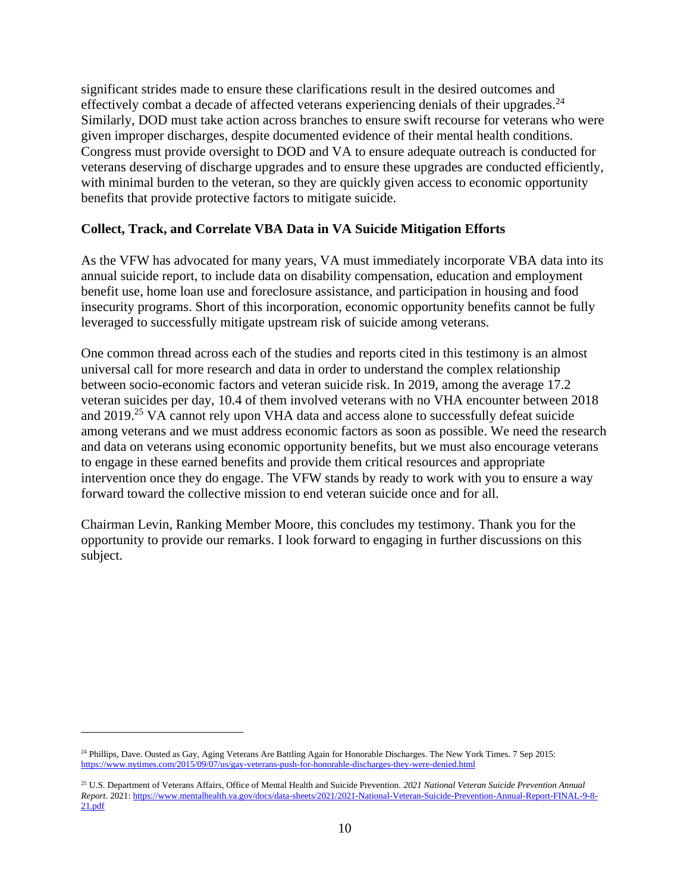significant strides made to ensure these clarifications result in the desired outcomes and effectively combat a decade of affected veterans experiencing denials of their upgrades.<sup>24</sup> Similarly, DOD must take action across branches to ensure swift recourse for veterans who were given improper discharges, despite documented evidence of their mental health conditions. Congress must provide oversight to DOD and VA to ensure adequate outreach is conducted for veterans deserving of discharge upgrades and to ensure these upgrades are conducted efficiently, with minimal burden to the veteran, so they are quickly given access to economic opportunity benefits that provide protective factors to mitigate suicide.

# **Collect, Track, and Correlate VBA Data in VA Suicide Mitigation Efforts**

As the VFW has advocated for many years, VA must immediately incorporate VBA data into its annual suicide report, to include data on disability compensation, education and employment benefit use, home loan use and foreclosure assistance, and participation in housing and food insecurity programs. Short of this incorporation, economic opportunity benefits cannot be fully leveraged to successfully mitigate upstream risk of suicide among veterans.

One common thread across each of the studies and reports cited in this testimony is an almost universal call for more research and data in order to understand the complex relationship between socio-economic factors and veteran suicide risk. In 2019, among the average 17.2 veteran suicides per day, 10.4 of them involved veterans with no VHA encounter between 2018 and 2019.<sup>25</sup> VA cannot rely upon VHA data and access alone to successfully defeat suicide among veterans and we must address economic factors as soon as possible. We need the research and data on veterans using economic opportunity benefits, but we must also encourage veterans to engage in these earned benefits and provide them critical resources and appropriate intervention once they do engage. The VFW stands by ready to work with you to ensure a way forward toward the collective mission to end veteran suicide once and for all.

Chairman Levin, Ranking Member Moore, this concludes my testimony. Thank you for the opportunity to provide our remarks. I look forward to engaging in further discussions on this subject.

<sup>&</sup>lt;sup>24</sup> Phillips, Dave. Ousted as Gay, Aging Veterans Are Battling Again for Honorable Discharges. The New York Times. 7 Sep 2015: <https://www.nytimes.com/2015/09/07/us/gay-veterans-push-for-honorable-discharges-they-were-denied.html>

<sup>25</sup> U.S. Department of Veterans Affairs, Office of Mental Health and Suicide Prevention. *2021 National Veteran Suicide Prevention Annual Report*. 2021[: https://www.mentalhealth.va.gov/docs/data-sheets/2021/2021-National-Veteran-Suicide-Prevention-Annual-Report-FINAL-9-8-](https://www.mentalhealth.va.gov/docs/data-sheets/2021/2021-National-Veteran-Suicide-Prevention-Annual-Report-FINAL-9-8-21.pdf) [21.pdf](https://www.mentalhealth.va.gov/docs/data-sheets/2021/2021-National-Veteran-Suicide-Prevention-Annual-Report-FINAL-9-8-21.pdf)